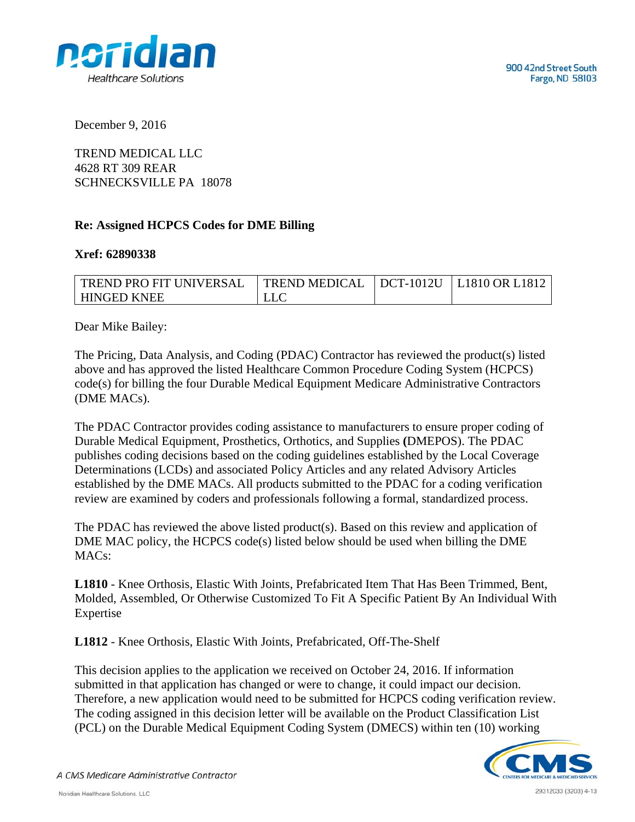

December 9, 2016

TREND MEDICAL LLC 4628 RT 309 REAR SCHNECKSVILLE PA 18078

## **Re: Assigned HCPCS Codes for DME Billing**

## **Xref: 62890338**

| 'TREND PRO FIT UNIVERSAL | $\vert$ TREND MEDICAL $\vert$ DCT-1012U $\vert$ L1810 OR L1812 |  |
|--------------------------|----------------------------------------------------------------|--|
| HINGED KNEE              | <b>LLC</b>                                                     |  |

Dear Mike Bailey:

The Pricing, Data Analysis, and Coding (PDAC) Contractor has reviewed the product(s) listed above and has approved the listed Healthcare Common Procedure Coding System (HCPCS) code(s) for billing the four Durable Medical Equipment Medicare Administrative Contractors (DME MACs).

The PDAC Contractor provides coding assistance to manufacturers to ensure proper coding of Durable Medical Equipment, Prosthetics, Orthotics, and Supplies **(**DMEPOS). The PDAC publishes coding decisions based on the coding guidelines established by the Local Coverage Determinations (LCDs) and associated Policy Articles and any related Advisory Articles established by the DME MACs. All products submitted to the PDAC for a coding verification review are examined by coders and professionals following a formal, standardized process.

The PDAC has reviewed the above listed product(s). Based on this review and application of DME MAC policy, the HCPCS code(s) listed below should be used when billing the DME MAC<sub>s</sub>:

**L1810** - Knee Orthosis, Elastic With Joints, Prefabricated Item That Has Been Trimmed, Bent, Molded, Assembled, Or Otherwise Customized To Fit A Specific Patient By An Individual With Expertise

**L1812** - Knee Orthosis, Elastic With Joints, Prefabricated, Off-The-Shelf

This decision applies to the application we received on October 24, 2016. If information submitted in that application has changed or were to change, it could impact our decision. Therefore, a new application would need to be submitted for HCPCS coding verification review. The coding assigned in this decision letter will be available on the Product Classification List (PCL) on the Durable Medical Equipment Coding System (DMECS) within ten (10) working



A CMS Medicare Administrative Contractor